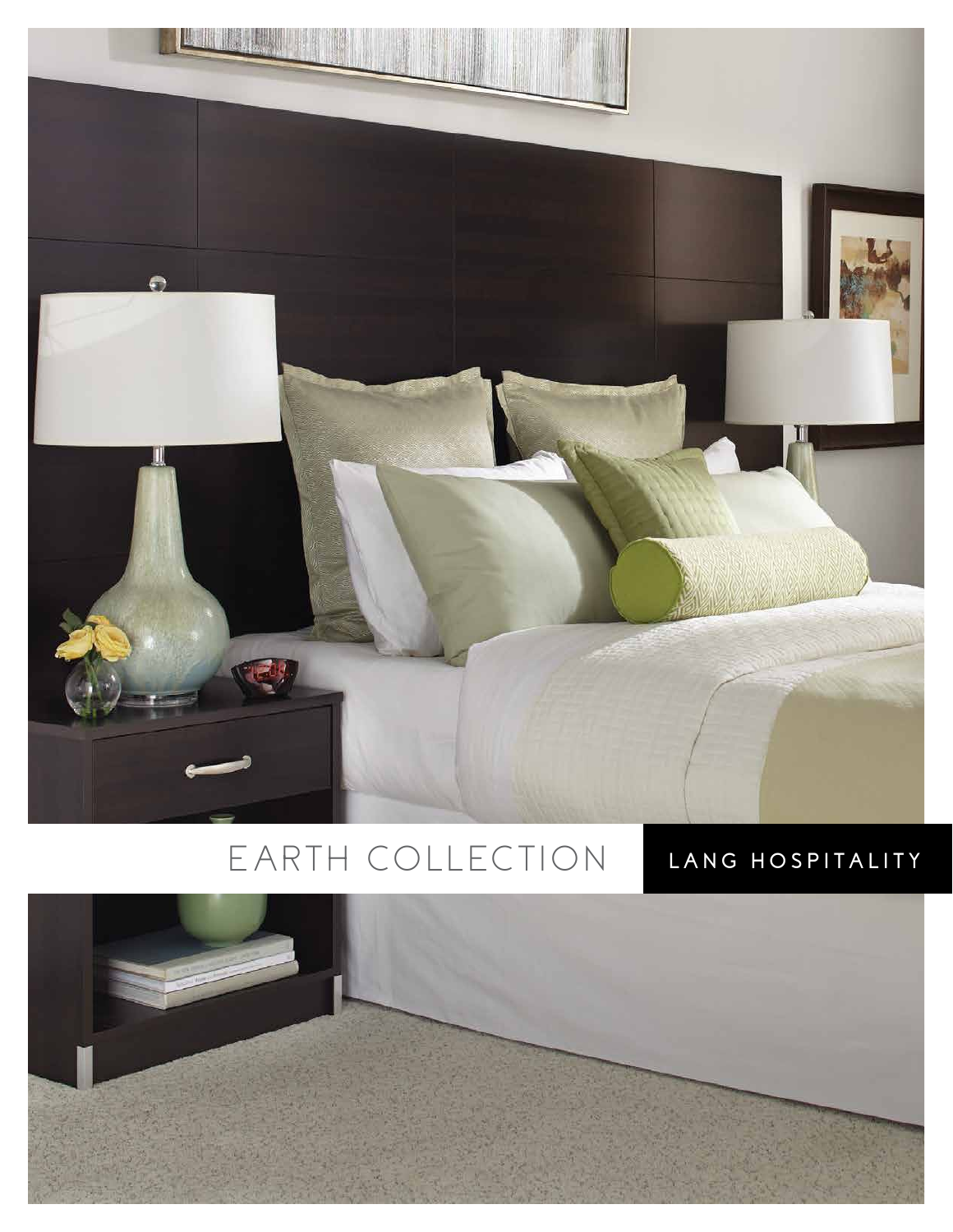

## E ARTH COLLECTION LANG HOSPITALITY

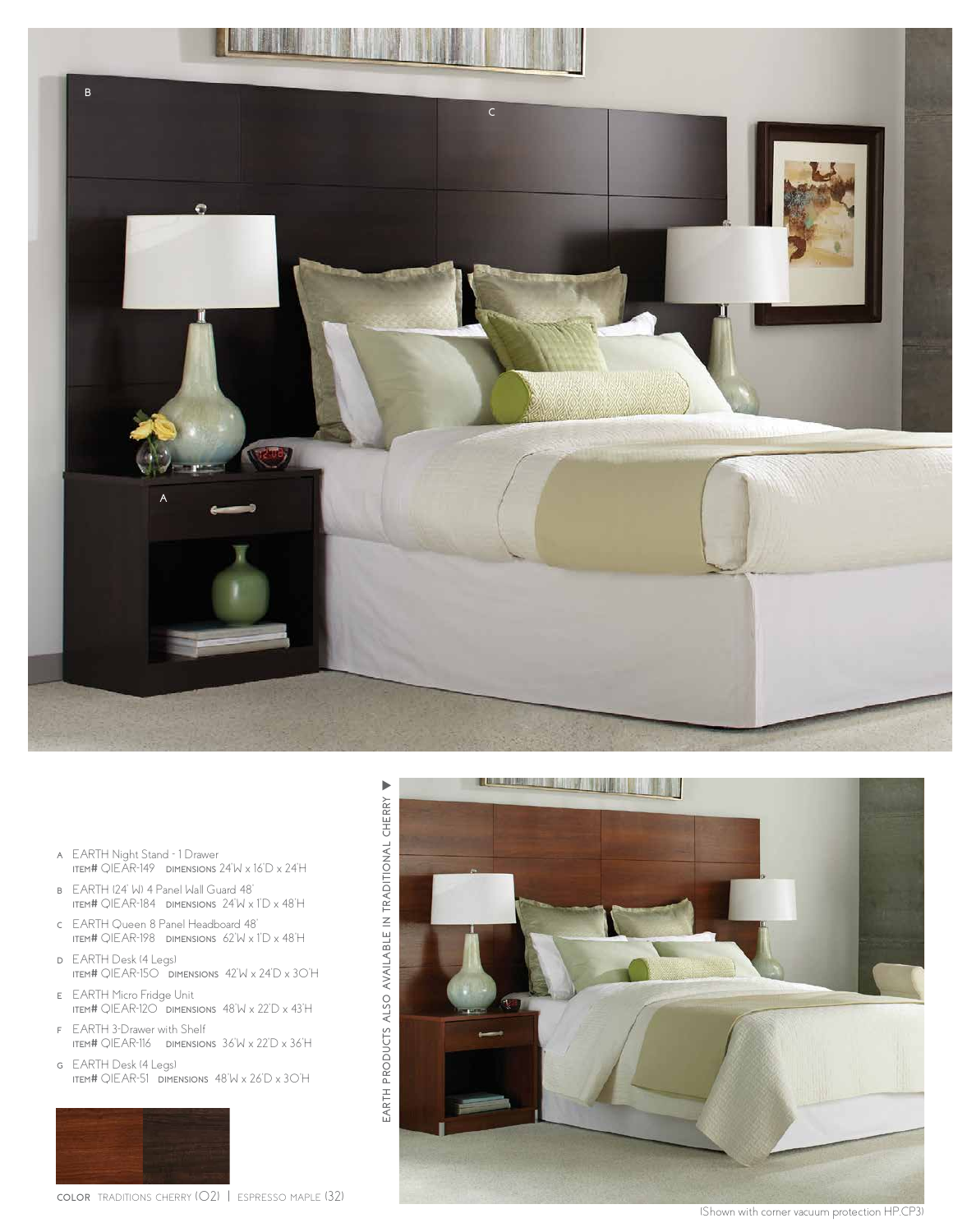

- **<sup>a</sup>** EARTH Night Stand 1 Drawer **item#** QIEAR-149 **dimensions** 24"W x 16"D x 24"H
- **<sup>b</sup>** EARTH (24" W) 4 Panel Wall Guard 48" **item#** QIEAR-184 **dimensions** 24"W x 1"D x 48"H
- **<sup>c</sup>** EARTH Queen 8 Panel Headboard 48" **item#** QIEAR-198 **dimensions** 62"W x 1"D x 48"H
- **<sup>d</sup>** EARTH Desk (4 Legs) **item#** QIEAR-150 **dimensions** 42"W x 24"D x 30"H

EARTH PRODUCTS ALSO AVAILABLE IN TRADITIONAL CHERRY

**products also**

- **<sup>e</sup>** EARTH Micro Fridge Unit **item#** QIEAR-120 **dimensions** 48"W x 22"D x 43"H
- **f** EARTH 3-Drawer with Shelf **item#** QIEAR-116 **dimensions** 36"W x 22"D x 36"H
- **<sup>g</sup>** EARTH Desk (4 Legs) **item#** QIEAR-51 **dimensions** 48"W x 26"D x 30"H

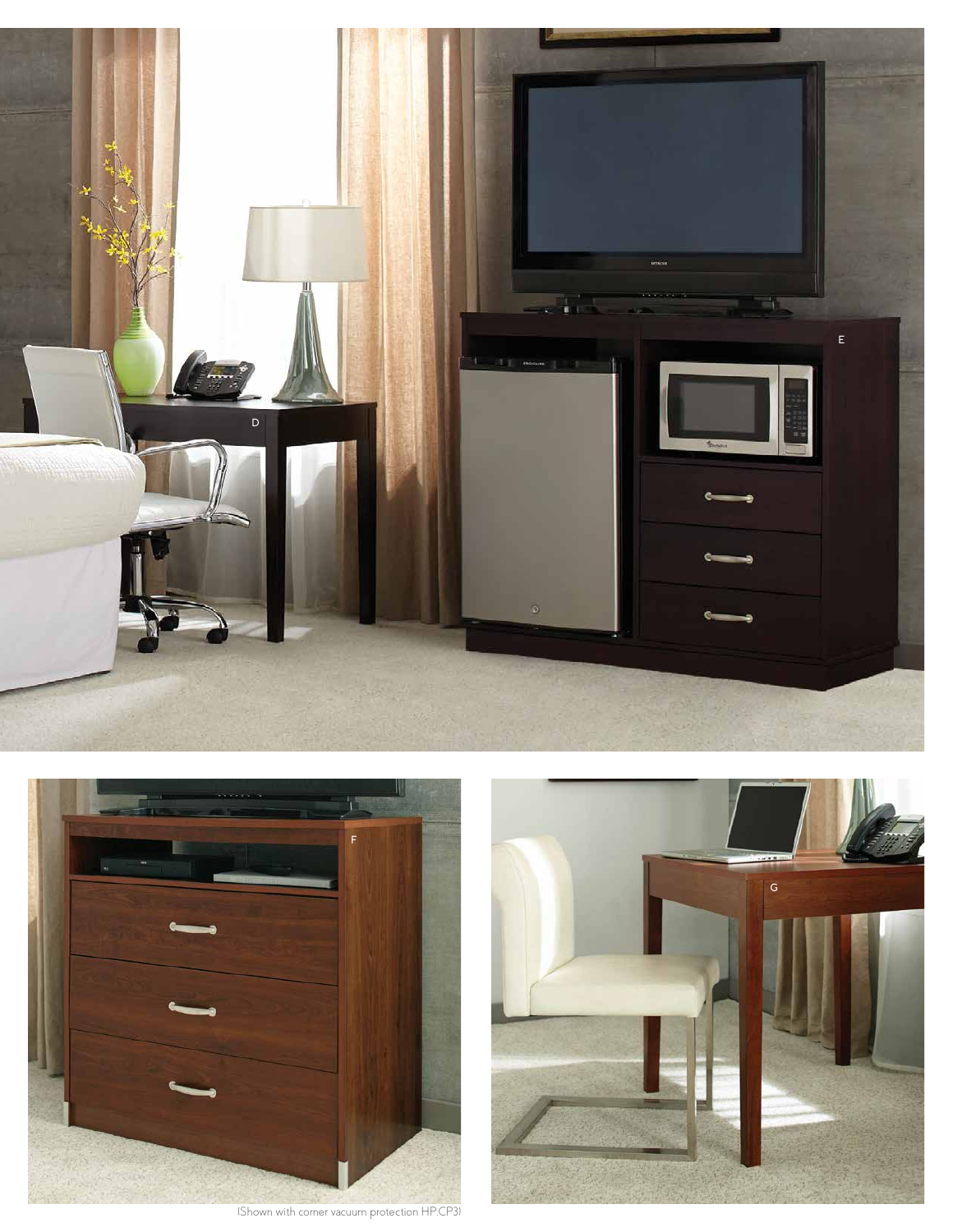



(Shown with corner vacuum protection HP.CP3)